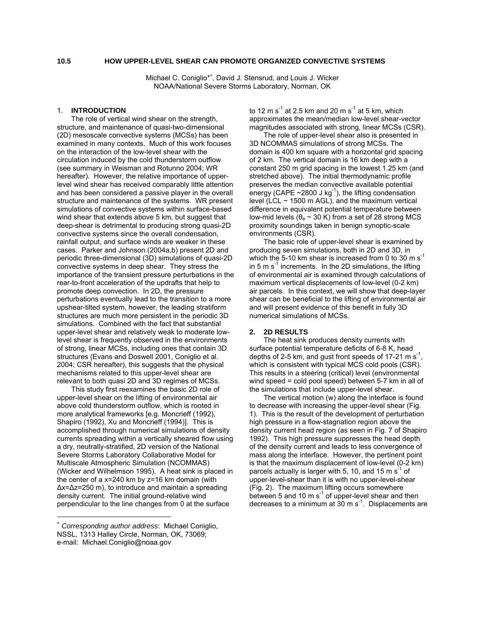# **10.5 HOW UPPER-LEVEL SHEAR CAN PROMOTE ORGANIZED CONVECTIVE SYSTEMS**

Michael C. Coniglio\*<sup>∗</sup> [,](#page-0-0) David J. Stensrud, and Louis J. Wicker NOAA/National Severe Storms Laboratory, Norman, OK

### 1. **INTRODUCTION**

The role of vertical wind shear on the strength, structure, and maintenance of quasi-two-dimensional (2D) mesoscale convective systems (MCSs) has been examined in many contexts. Much of this work focuses on the interaction of the low-level shear with the circulation induced by the cold thunderstorm outflow (see summary in Weisman and Rotunno 2004; WR hereafter). However, the relative importance of upperlevel wind shear has received comparably little attention and has been considered a passive player in the overall structure and maintenance of the systems. WR present simulations of convective systems within surface-based wind shear that extends above 5 km, but suggest that deep-shear is detrimental to producing strong quasi-2D convective systems since the overall condensation, rainfall output, and surface winds are weaker in these cases. Parker and Johnson (2004a,b) present 2D and periodic three-dimensional (3D) simulations of quasi-2D convective systems in deep shear. They stress the importance of the transient pressure perturbations in the rear-to-front acceleration of the updrafts that help to promote deep convection. In 2D, the pressure perturbations eventually lead to the transition to a more upshear-tilted system, however, the leading stratiform structures are much more persistent in the periodic 3D simulations. Combined with the fact that substantial upper-level shear and relatively weak to moderate lowlevel shear is frequently observed in the environments of strong, linear MCSs, including ones that contain 3D structures (Evans and Doswell 2001, Coniglio et al. 2004; CSR hereafter), this suggests that the physical mechanisms related to this upper-level shear are relevant to both quasi 2D and 3D regimes of MCSs.

This study first reexamines the basic 2D role of upper-level shear on the lifting of environmental air above cold thunderstorm outflow, which is rooted in more analytical frameworks [e.g. Moncrieff (1992), Shapiro (1992), Xu and Moncrieff (1994)]. This is accomplished through numerical simulations of density currents spreading within a vertically sheared flow using a dry, neutrally-stratified, 2D version of the National Severe Storms Laboratory Collaborative Model for Multiscale Atmospheric Simulation (NCOMMAS) (Wicker and Wilhelmson 1995). A heat sink is placed in the center of a x=240 km by z=16 km domain (with ∆x=∆z=250 m), to introduce and maintain a spreading density current. The initial ground-relative wind perpendicular to the line changes from 0 at the surface

 $\overline{a}$ 

to 12 m s<sup>-1</sup> at 2.5 km and 20 m s<sup>-1</sup> at 5 km, which approximates the mean/median low-level shear-vector magnitudes associated with strong, linear MCSs (CSR).

The role of upper-level shear also is presented in 3D NCOMMAS simulations of strong MCSs. The domain is 400 km square with a horizontal grid spacing of 2 km. The vertical domain is 16 km deep with a constant 250 m grid spacing in the lowest 1.25 km (and stretched above). The initial thermodynamic profile preserves the median convective available potential energy (CAPE  $\sim$ 2800 J kg<sup>-1</sup>), the lifting condensation level (LCL  $\sim$  1500 m AGL), and the maximum vertical difference in equivalent potential temperature between low-mid levels ( $θ_e$  ~ 30 K) from a set of 28 strong MCS proximity soundings taken in benign synoptic-scale environments (CSR).

The basic role of upper-level shear is examined by producing seven simulations, both in 2D and 3D, in which the 5-10 km shear is increased from 0 to 30 m  $s^{-1}$ in 5 m  $s^{-1}$  increments. In the 2D simulations, the lifting of environmental air is examined through calculations of maximum vertical displacements of low-level (0-2 km) air parcels. In this context, we will show that deep-layer shear can be beneficial to the lifting of environmental air and will present evidence of this benefit in fully 3D numerical simulations of MCSs.

#### **2. 2D RESULTS**

The heat sink produces density currents with surface potential temperature deficits of 6-8 K, head depths of 2-5 km, and gust front speeds of 17-21 m  $s^{-1}$ . which is consistent with typical MCS cold pools (CSR). This results in a steering (critical) level (environmental wind speed = cold pool speed) between 5-7 km in all of the simulations that include upper-level shear.

The vertical motion (w) along the interface is found to decrease with increasing the upper-level shear (Fig. 1). This is the result of the development of perturbation high pressure in a flow-stagnation region above the density current head region (as seen in Fig. 7 of Shapiro 1992). This high pressure suppresses the head depth of the density current and leads to less convergence of mass along the interface. However, the pertinent point is that the maximum displacement of low-level (0-2 km) parcels actually is larger with 5, 10, and 15 m  $s^{-1}$  of upper-level-shear than it is with no upper-level-shear (Fig. 2). The maximum lifting occurs somewhere between 5 and 10  $\text{m s}^{-1}$  of upper-level shear and then decreases to a minimum at  $30 \text{ m s}^{-1}$ . Displacements are

<span id="page-0-0"></span><sup>∗</sup> *Corresponding author address*: Michael Coniglio, NSSL, 1313 Halley Circle, Norman, OK, 73069; e-mail: Michael.Coniglio@noaa.gov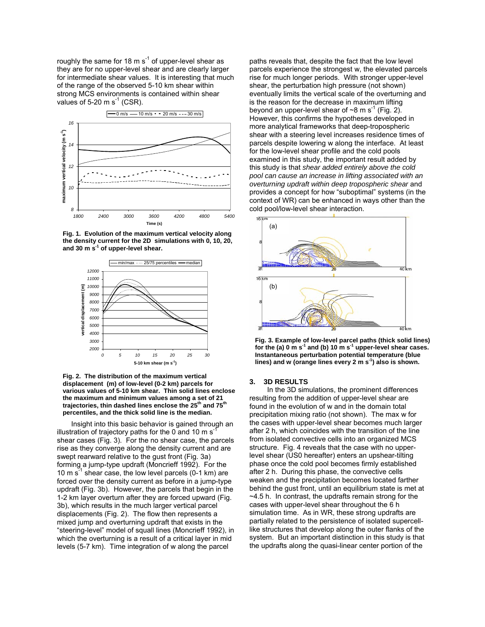roughly the same for 18 m  $s^{-1}$  of upper-level shear as they are for no upper-level shear and are clearly larger for intermediate shear values. It is interesting that much of the range of the observed 5-10 km shear within strong MCS environments is contained within shear values of 5-20 m  $s^{-1}$  (CSR).



**Fig. 1. Evolution of the maximum vertical velocity along the density current for the 2D simulations with 0, 10, 20, and 30 m s-1 of upper-level shear.** 



**Fig. 2. The distribution of the maximum vertical displacement (m) of low-level (0-2 km) parcels for various values of 5-10 km shear. Thin solid lines enclose the maximum and minimum values among a set of 21** trajectories, thin dashed lines enclose the 25<sup>th</sup> and 75<sup>th</sup> **percentiles, and the thick solid line is the median.** 

Insight into this basic behavior is gained through an illustration of trajectory paths for the 0 and 10 m  $s^{-1}$ shear cases (Fig. 3). For the no shear case, the parcels rise as they converge along the density current and are swept rearward relative to the gust front (Fig. 3a) forming a jump-type updraft (Moncrieff 1992). For the 10 m  $s^{-1}$  shear case, the low level parcels (0-1 km) are forced over the density current as before in a jump-type updraft (Fig. 3b). However, the parcels that begin in the 1-2 km layer overturn after they are forced upward (Fig. 3b), which results in the much larger vertical parcel displacements (Fig. 2). The flow then represents a mixed jump and overturning updraft that exists in the "steering-level" model of squall lines (Moncrieff 1992), in which the overturning is a result of a critical layer in mid levels (5-7 km). Time integration of w along the parcel

paths reveals that, despite the fact that the low level parcels experience the strongest w, the elevated parcels rise for much longer periods. With stronger upper-level shear, the perturbation high pressure (not shown) eventually limits the vertical scale of the overturning and is the reason for the decrease in maximum lifting beyond an upper-level shear of  $\sim$ 8 m s<sup>-1</sup> (Fig. 2). However, this confirms the hypotheses developed in more analytical frameworks that deep-tropospheric shear with a steering level increases residence times of parcels despite lowering w along the interface. At least for the low-level shear profile and the cold pools examined in this study, the important result added by this study is that *shear added entirely above the cold pool can cause an increase in lifting associated with an overturning updraft within deep tropospheric shear* and provides a concept for how "suboptimal" systems (in the context of WR) can be enhanced in ways other than the



**Fig. 3. Example of low-level parcel paths (thick solid lines) for the (a) 0 m s-1 and (b) 10 m s-1 upper-level shear cases. Instantaneous perturbation potential temperature (blue lines) and w (orange lines every 2 m s-1) also is shown.** 

#### **3. 3D RESULTS**

In the 3D simulations, the prominent differences resulting from the addition of upper-level shear are found in the evolution of w and in the domain total precipitation mixing ratio (not shown). The max w for the cases with upper-level shear becomes much larger after 2 h, which coincides with the transition of the line from isolated convective cells into an organized MCS structure. Fig. 4 reveals that the case with no upperlevel shear (US0 hereafter) enters an upshear-tilting phase once the cold pool becomes firmly established after 2 h. During this phase, the convective cells weaken and the precipitation becomes located farther behind the gust front, until an equilibrium state is met at ~4.5 h. In contrast, the updrafts remain strong for the cases with upper-level shear throughout the 6 h simulation time. As in WR, these strong updrafts are partially related to the persistence of isolated supercelllike structures that develop along the outer flanks of the system. But an important distinction in this study is that the updrafts along the quasi-linear center portion of the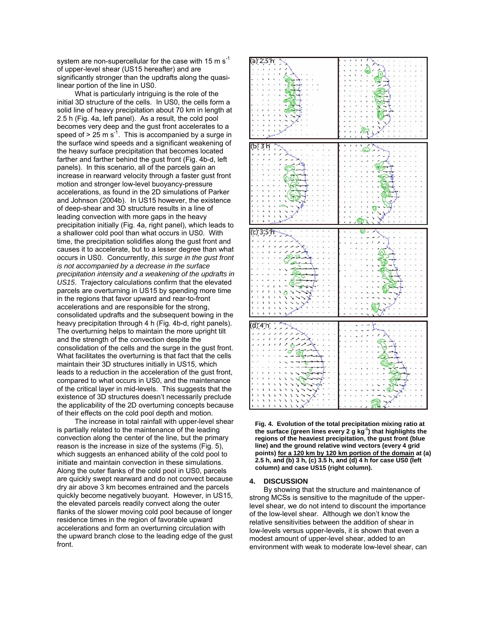system are non-supercellular for the case with 15 m  $s^{-1}$ of upper-level shear (US15 hereafter) and are significantly stronger than the updrafts along the quasilinear portion of the line in US0.

What is particularly intriguing is the role of the initial 3D structure of the cells. In US0, the cells form a solid line of heavy precipitation about 70 km in length at 2.5 h (Fig. 4a, left panel). As a result, the cold pool becomes very deep and the gust front accelerates to a speed of  $> 25$  m s<sup>-1</sup>. This is accompanied by a surge in the surface wind speeds and a significant weakening of the heavy surface precipitation that becomes located farther and farther behind the gust front (Fig. 4b-d, left panels). In this scenario, all of the parcels gain an increase in rearward velocity through a faster gust front motion and stronger low-level buoyancy-pressure accelerations, as found in the 2D simulations of Parker and Johnson (2004b). In US15 however, the existence of deep-shear and 3D structure results in a line of leading convection with more gaps in the heavy precipitation initially (Fig. 4a, right panel), which leads to a shallower cold pool than what occurs in US0. With time, the precipitation solidifies along the gust front and causes it to accelerate, but to a lesser degree than what occurs in US0. Concurrently, *this surge in the gust front is not accompanied by a decrease in the surface precipitation intensity and a weakening of the updrafts in US15*. Trajectory calculations confirm that the elevated parcels are overturning in US15 by spending more time in the regions that favor upward and rear-to-front accelerations and are responsible for the strong, consolidated updrafts and the subsequent bowing in the heavy precipitation through 4 h (Fig. 4b-d, right panels). The overturning helps to maintain the more upright tilt and the strength of the convection despite the consolidation of the cells and the surge in the gust front. What facilitates the overturning is that fact that the cells maintain their 3D structures initially in US15, which leads to a reduction in the acceleration of the gust front, compared to what occurs in US0, and the maintenance of the critical layer in mid-levels. This suggests that the existence of 3D structures doesn't necessarily preclude the applicability of the 2D overturning concepts because of their effects on the cold pool depth and motion.

The increase in total rainfall with upper-level shear is partially related to the maintenance of the leading convection along the center of the line, but the primary reason is the increase in size of the systems (Fig. 5), which suggests an enhanced ability of the cold pool to initiate and maintain convection in these simulations. Along the outer flanks of the cold pool in US0, parcels are quickly swept rearward and do not convect because dry air above 3 km becomes entrained and the parcels quickly become negatively buoyant. However, in US15, the elevated parcels readily convect along the outer flanks of the slower moving cold pool because of longer residence times in the region of favorable upward accelerations and form an overturning circulation with the upward branch close to the leading edge of the gust front.



**Fig. 4. Evolution of the total precipitation mixing ratio at the surface (green lines every 2 g kg-1) that highlights the regions of the heaviest precipitation, the gust front (blue line) and the ground relative wind vectors (every 4 grid points) for a 120 km by 120 km portion of the domain at (a) 2.5 h, and (b) 3 h, (c) 3.5 h, and (d) 4 h for case US0 (left column) and case US15 (right column).** 

## **4. DISCUSSION**

By showing that the structure and maintenance of strong MCSs is sensitive to the magnitude of the upperlevel shear, we do not intend to discount the importance of the low-level shear. Although we don't know the relative sensitivities between the addition of shear in low-levels versus upper-levels, it is shown that even a modest amount of upper-level shear, added to an environment with weak to moderate low-level shear, can